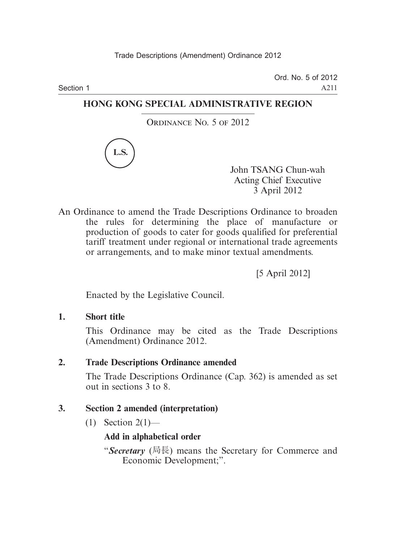Section 1

Ord. No. 5 of 2012 A211

#### **HONG KONG SPECIAL ADMINISTRATIVE REGION**

ORDINANCE No. 5 OF 2012



John TSANG Chun-wah Acting Chief Executive 3 April 2012

An Ordinance to amend the Trade Descriptions Ordinance to broaden the rules for determining the place of manufacture or production of goods to cater for goods qualified for preferential tariff treatment under regional or international trade agreements or arrangements, and to make minor textual amendments.

[5 April 2012]

Enacted by the Legislative Council.

**1. Short title**

This Ordinance may be cited as the Trade Descriptions (Amendment) Ordinance 2012.

**2. Trade Descriptions Ordinance amended**

The Trade Descriptions Ordinance (Cap. 362) is amended as set out in sections 3 to 8.

#### **3. Section 2 amended (interpretation)**

 $(1)$  Section 2(1)—

#### **Add in alphabetical order**

"*Secretary* (局長) means the Secretary for Commerce and Economic Development;".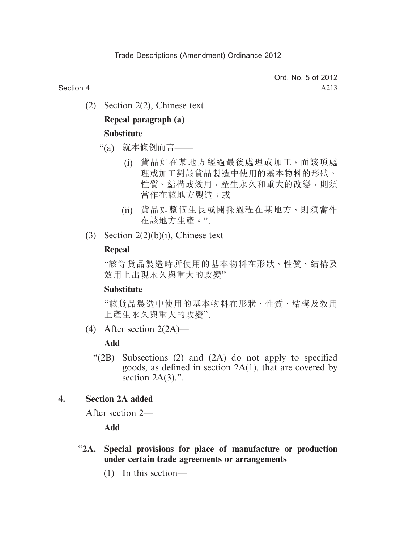(2) Section 2(2), Chinese text—

#### **Repeal paragraph (a) Substitute**

## "(a) 就本條例而言——

- (i) 貨品如在某地方經過最後處理或加工,而該項處 理或加工對該貨品製造中使用的基本物料的形狀、 性質、結構或效用,產生永久和重大的改變,則須 當作在該地方製造;或
- (ii) 貨品如整個生長或開採過程在某地方,則須當作 在該地方生產。".
- (3) Section  $2(2)(b)(i)$ , Chinese text—

#### **Repeal**

"該等貨品製造時所使用的基本物料在形狀、性質、結構及 效用上出現永久與重大的改變"

#### **Substitute**

"該貨品製造中使用的基本物料在形狀、性質、結構及效用 上產生永久與重大的改變".

(4) After section 2(2A)—

#### **Add**

 "(2B) Subsections (2) and (2A) do not apply to specified goods, as defined in section 2A(1), that are covered by section  $2A(3)$ .".

#### **4. Section 2A added**

After section 2—

**Add**

#### "**2A. Special provisions for place of manufacture or production under certain trade agreements or arrangements**

(1) In this section—

Section 4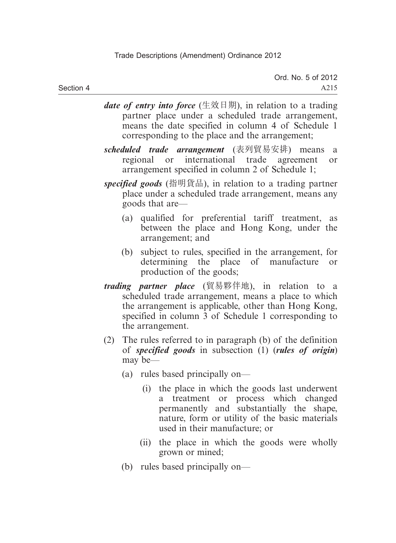- *date of entry into force* (生效日期), in relation to a trading partner place under a scheduled trade arrangement, means the date specified in column 4 of Schedule 1 corresponding to the place and the arrangement;
- *scheduled trade arrangement* (表列貿易安排) means a regional or international trade agreement or arrangement specified in column 2 of Schedule 1;
- *specified goods* (指明貨品), in relation to a trading partner place under a scheduled trade arrangement, means any goods that are—
	- (a) qualified for preferential tariff treatment, as between the place and Hong Kong, under the arrangement; and
	- (b) subject to rules, specified in the arrangement, for determining the place of manufacture or production of the goods;
- *trading partner place* (貿易夥伴地), in relation to a scheduled trade arrangement, means a place to which the arrangement is applicable, other than Hong Kong, specified in column 3 of Schedule 1 corresponding to the arrangement.
- (2) The rules referred to in paragraph (b) of the definition of *specified goods* in subsection (1) (*rules of origin*) may be—
	- (a) rules based principally on—
		- (i) the place in which the goods last underwent a treatment or process which changed permanently and substantially the shape, nature, form or utility of the basic materials used in their manufacture; or
		- (ii) the place in which the goods were wholly grown or mined;
	- (b) rules based principally on—

Section 4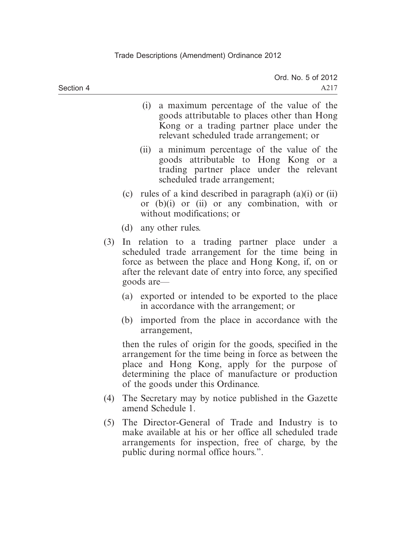- (i) a maximum percentage of the value of the goods attributable to places other than Hong Kong or a trading partner place under the relevant scheduled trade arrangement; or
- (ii) a minimum percentage of the value of the goods attributable to Hong Kong or a trading partner place under the relevant scheduled trade arrangement;
- (c) rules of a kind described in paragraph (a)(i) or (ii) or (b)(i) or (ii) or any combination, with or without modifications; or
- (d) any other rules.
- (3) In relation to a trading partner place under a scheduled trade arrangement for the time being in force as between the place and Hong Kong, if, on or after the relevant date of entry into force, any specified goods are—
	- (a) exported or intended to be exported to the place in accordance with the arrangement; or
	- (b) imported from the place in accordance with the arrangement,

then the rules of origin for the goods, specified in the arrangement for the time being in force as between the place and Hong Kong, apply for the purpose of determining the place of manufacture or production of the goods under this Ordinance.

- (4) The Secretary may by notice published in the Gazette amend Schedule 1.
- (5) The Director-General of Trade and Industry is to make available at his or her office all scheduled trade arrangements for inspection, free of charge, by the public during normal office hours.".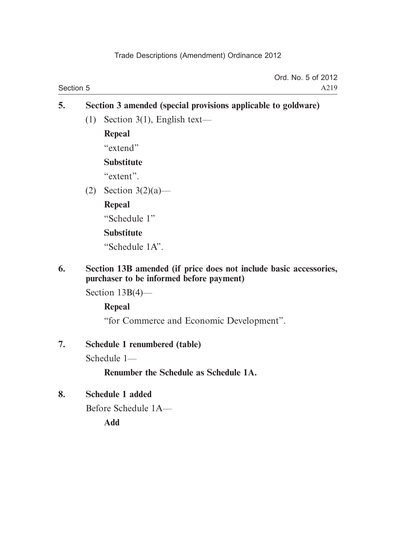|           | Ord. No. 5 of 2012 |
|-----------|--------------------|
| Section 5 | A219               |

# **5. Section 3 amended (special provisions applicable to goldware)**

(1) Section 3(1), English text—

**Repeal**

"extend"

#### **Substitute**

"extent".

(2) Section 3(2)(a)—

#### **Repeal**

"Schedule 1"

## **Substitute**

"Schedule 1A".

#### **6. Section 13B amended (if price does not include basic accessories, purchaser to be informed before payment)**

Section 13B(4)—

## **Repeal**

"for Commerce and Economic Development".

## **7. Schedule 1 renumbered (table)**

Schedule 1—

## **Renumber the Schedule as Schedule 1A.**

## **8. Schedule 1 added**

Before Schedule 1A—

**Add**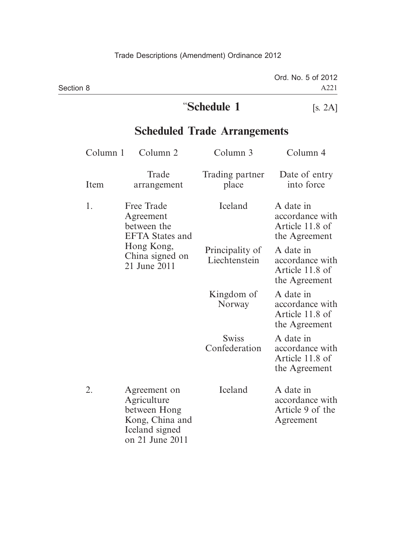|           | "Schedule 1 | [s. 2A]            |
|-----------|-------------|--------------------|
| Section 8 |             | A221               |
|           |             | Ord. No. 5 of 2012 |

## **Scheduled Trade Arrangements**

| Column 1 | Column 2                                                                                            | Column 3                         | Column 4                                                         |
|----------|-----------------------------------------------------------------------------------------------------|----------------------------------|------------------------------------------------------------------|
| Item     | Trade<br>arrangement                                                                                | Trading partner<br>place         | Date of entry<br>into force                                      |
| 1.       | Free Trade<br>Agreement<br>between the<br><b>EFTA</b> States and                                    | Iceland                          | A date in<br>accordance with<br>Article 11.8 of<br>the Agreement |
|          | Hong Kong,<br>China signed on<br>21 June 2011                                                       | Principality of<br>Liechtenstein | A date in<br>accordance with<br>Article 11.8 of<br>the Agreement |
|          |                                                                                                     | Kingdom of<br>Norway             | A date in<br>accordance with<br>Article 11.8 of<br>the Agreement |
|          |                                                                                                     | <b>Swiss</b><br>Confederation    | A date in<br>accordance with<br>Article 11.8 of<br>the Agreement |
| 2.       | Agreement on<br>Agriculture<br>between Hong<br>Kong, China and<br>Iceland signed<br>on 21 June 2011 | Iceland                          | A date in<br>accordance with<br>Article 9 of the<br>Agreement    |